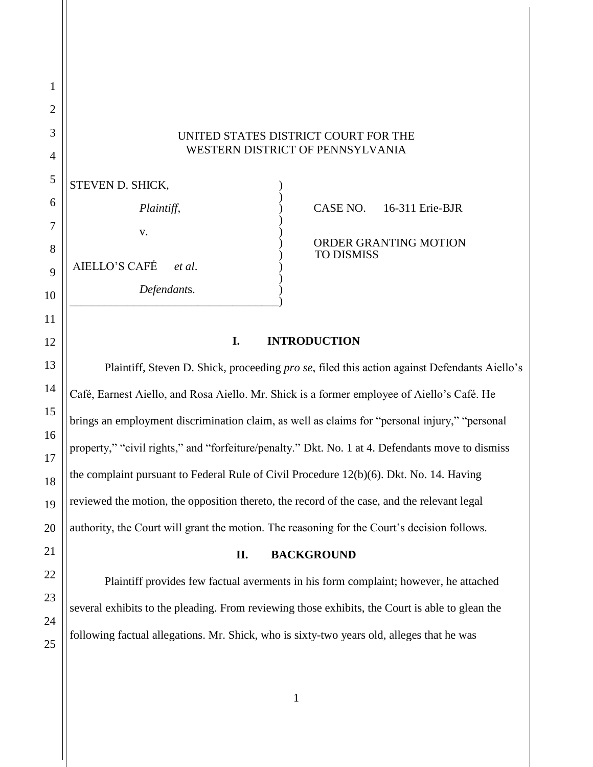## UNITED STATES DISTRICT COURT FOR THE WESTERN DISTRICT OF PENNSYLVANIA

|                | <b>STEVEN D. SHICK,</b> |                                            |
|----------------|-------------------------|--------------------------------------------|
| б              | Plaintiff,              | 16-311 Erie-BJR<br>CASE NO.                |
|                | V.                      |                                            |
| 8              |                         | ORDER GRANTING MOTION<br><b>TO DISMISS</b> |
|                | AIELLO'S CAFÉ<br>et al. |                                            |
| $\overline{0}$ | Defendants.             |                                            |
|                |                         |                                            |

# **I. INTRODUCTION**

Plaintiff, Steven D. Shick, proceeding *pro se*, filed this action against Defendants Aiello's Café, Earnest Aiello, and Rosa Aiello. Mr. Shick is a former employee of Aiello's Café. He brings an employment discrimination claim, as well as claims for "personal injury," "personal property," "civil rights," and "forfeiture/penalty." Dkt. No. 1 at 4. Defendants move to dismiss the complaint pursuant to Federal Rule of Civil Procedure 12(b)(6). Dkt. No. 14. Having reviewed the motion, the opposition thereto, the record of the case, and the relevant legal authority, the Court will grant the motion. The reasoning for the Court's decision follows.

### **II. BACKGROUND**

Plaintiff provides few factual averments in his form complaint; however, he attached several exhibits to the pleading. From reviewing those exhibits, the Court is able to glean the following factual allegations. Mr. Shick, who is sixty-two years old, alleges that he was

1

2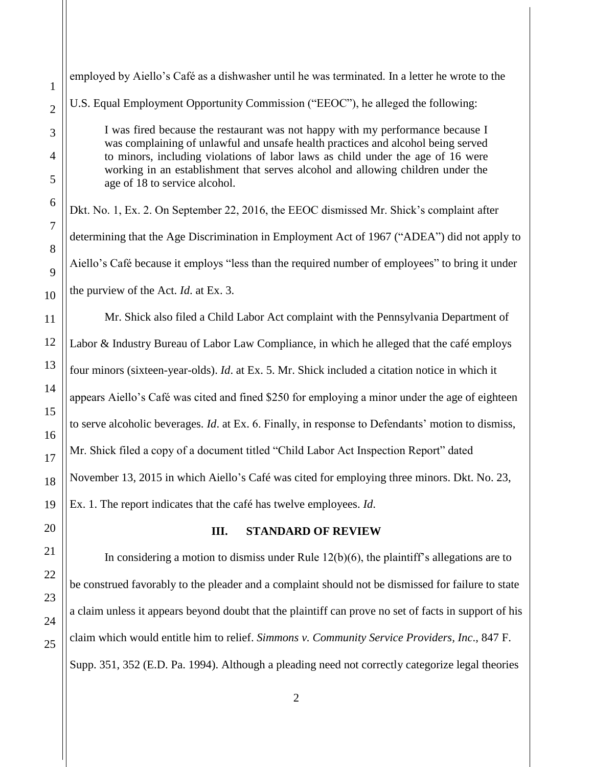1

2

employed by Aiello's Café as a dishwasher until he was terminated. In a letter he wrote to the U.S. Equal Employment Opportunity Commission ("EEOC"), he alleged the following:

I was fired because the restaurant was not happy with my performance because I was complaining of unlawful and unsafe health practices and alcohol being served to minors, including violations of labor laws as child under the age of 16 were working in an establishment that serves alcohol and allowing children under the age of 18 to service alcohol.

Dkt. No. 1, Ex. 2. On September 22, 2016, the EEOC dismissed Mr. Shick's complaint after determining that the Age Discrimination in Employment Act of 1967 ("ADEA") did not apply to Aiello's Café because it employs "less than the required number of employees" to bring it under the purview of the Act. *Id*. at Ex. 3.

Mr. Shick also filed a Child Labor Act complaint with the Pennsylvania Department of Labor & Industry Bureau of Labor Law Compliance, in which he alleged that the café employs four minors (sixteen-year-olds). *Id*. at Ex. 5. Mr. Shick included a citation notice in which it appears Aiello's Café was cited and fined \$250 for employing a minor under the age of eighteen to serve alcoholic beverages. *Id*. at Ex. 6. Finally, in response to Defendants' motion to dismiss, Mr. Shick filed a copy of a document titled "Child Labor Act Inspection Report" dated November 13, 2015 in which Aiello's Café was cited for employing three minors. Dkt. No. 23, Ex. 1. The report indicates that the café has twelve employees. *Id*.

# **III. STANDARD OF REVIEW**

In considering a motion to dismiss under Rule  $12(b)(6)$ , the plaintiff's allegations are to be construed favorably to the pleader and a complaint should not be dismissed for failure to state a claim unless it appears beyond doubt that the plaintiff can prove no set of facts in support of his claim which would entitle him to relief. *Simmons v. Community Service Providers, Inc*., 847 F. Supp. 351, 352 (E.D. Pa. 1994). Although a pleading need not correctly categorize legal theories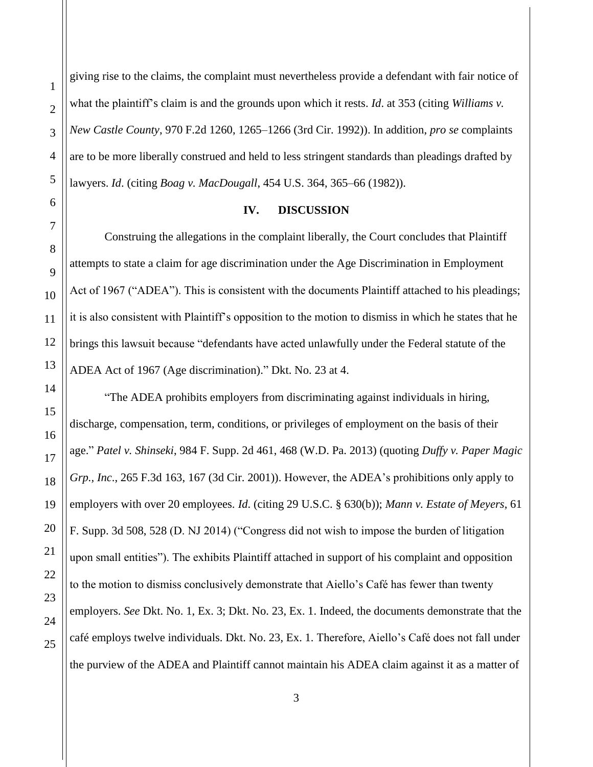Construing the allegations in the complaint liberally, the Court concludes that Plaintiff attempts to state a claim for age discrimination under the Age Discrimination in Employment Act of 1967 ("ADEA"). This is consistent with the documents Plaintiff attached to his pleadings; it is also consistent with Plaintiff's opposition to the motion to dismiss in which he states that he brings this lawsuit because "defendants have acted unlawfully under the Federal statute of the ADEA Act of 1967 (Age discrimination)." Dkt. No. 23 at 4.

"The ADEA prohibits employers from discriminating against individuals in hiring, discharge, compensation, term, conditions, or privileges of employment on the basis of their age." *Patel v. Shinseki*, 984 F. Supp. 2d 461, 468 (W.D. Pa. 2013) (quoting *Duffy v. Paper Magic Grp., Inc*., 265 F.3d 163, 167 (3d Cir. 2001)). However, the ADEA's prohibitions only apply to employers with over 20 employees. *Id*. (citing 29 U.S.C. § 630(b)); *Mann v. Estate of Meyers*, 61 F. Supp. 3d 508, 528 (D. NJ 2014) ("Congress did not wish to impose the burden of litigation upon small entities"). The exhibits Plaintiff attached in support of his complaint and opposition to the motion to dismiss conclusively demonstrate that Aiello's Café has fewer than twenty employers. *See* Dkt. No. 1, Ex. 3; Dkt. No. 23, Ex. 1. Indeed, the documents demonstrate that the café employs twelve individuals. Dkt. No. 23, Ex. 1. Therefore, Aiello's Café does not fall under

#### **IV. DISCUSSION**

giving rise to the claims, the complaint must nevertheless provide a defendant with fair notice of what the plaintiff's claim is and the grounds upon which it rests. *Id*. at 353 (citing *Williams v. New Castle County*, 970 F.2d 1260, 1265–1266 (3rd Cir. 1992)). In addition, *pro se* complaints are to be more liberally construed and held to less stringent standards than pleadings drafted by lawyers. *Id*. (citing *Boag v. MacDougall*, 454 U.S. 364, 365–66 (1982)).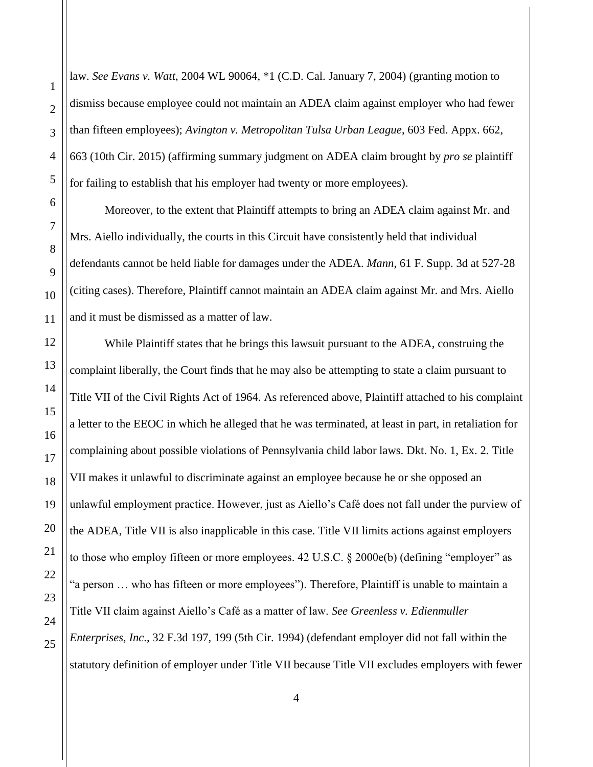law. *See Evans v. Watt*, 2004 WL 90064, \*1 (C.D. Cal. January 7, 2004) (granting motion to dismiss because employee could not maintain an ADEA claim against employer who had fewer than fifteen employees); *Avington v. Metropolitan Tulsa Urban League*, 603 Fed. Appx. 662, 663 (10th Cir. 2015) (affirming summary judgment on ADEA claim brought by *pro se* plaintiff for failing to establish that his employer had twenty or more employees).

Moreover, to the extent that Plaintiff attempts to bring an ADEA claim against Mr. and Mrs. Aiello individually, the courts in this Circuit have consistently held that individual defendants cannot be held liable for damages under the ADEA. *Mann*, 61 F. Supp. 3d at 527-28 (citing cases). Therefore, Plaintiff cannot maintain an ADEA claim against Mr. and Mrs. Aiello and it must be dismissed as a matter of law.

While Plaintiff states that he brings this lawsuit pursuant to the ADEA, construing the complaint liberally, the Court finds that he may also be attempting to state a claim pursuant to Title VII of the Civil Rights Act of 1964. As referenced above, Plaintiff attached to his complaint a letter to the EEOC in which he alleged that he was terminated, at least in part, in retaliation for complaining about possible violations of Pennsylvania child labor laws. Dkt. No. 1, Ex. 2. Title VII makes it unlawful to discriminate against an employee because he or she opposed an unlawful employment practice. However, just as Aiello's Café does not fall under the purview of the ADEA, Title VII is also inapplicable in this case. Title VII limits actions against employers to those who employ fifteen or more employees. 42 U.S.C. § 2000e(b) (defining "employer" as "a person … who has fifteen or more employees"). Therefore, Plaintiff is unable to maintain a Title VII claim against Aiello's Café as a matter of law. *See Greenless v. Edienmuller Enterprises, Inc*., 32 F.3d 197, 199 (5th Cir. 1994) (defendant employer did not fall within the statutory definition of employer under Title VII because Title VII excludes employers with fewer